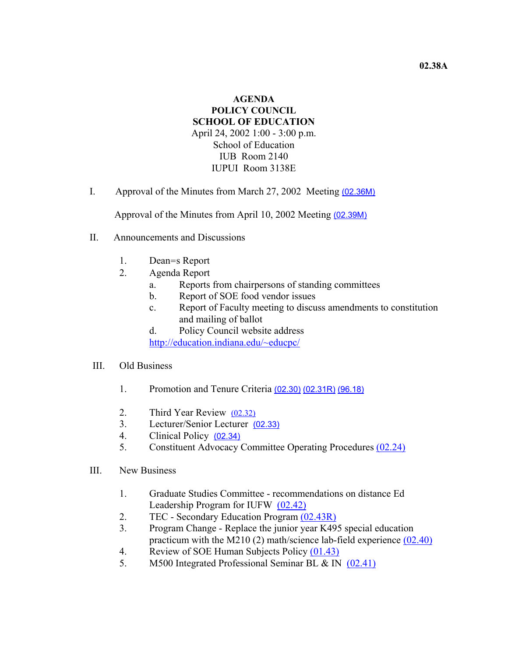## **AGENDA POLICY COUNCIL SCHOOL OF EDUCATION** April 24, 2002 1:00 - 3:00 p.m. School of Education IUB Room 2140 IUPUI Room 3138E

I. Approval of the Minutes from March 27, 2002 Meeting (02.36M)

Approval of the Minutes from April 10, 2002 Meeting (02.39M)

- II. Announcements and Discussions
	- 1. Dean=s Report
	- 2. Agenda Report
		- a. Reports from chairpersons of standing committees
		- b. Report of SOE food vendor issues
		- c. Report of Faculty meeting to discuss amendments to constitution and mailing of ballot
		- d. Policy Council website address http://education.indiana.edu/~educpc/

## III. Old Business

- 1. Promotion and Tenure Criteria (02.30) (02.31R) (96.18)
- 2. Third Year Review (02.32)
- 3. Lecturer/Senior Lecturer (02.33)
- 4. Clinical Policy (02.34)
- 5. Constituent Advocacy Committee Operating Procedures (02.24)
- III. New Business
	- 1. Graduate Studies Committee recommendations on distance Ed Leadership Program for IUFW (02.42)
	- 2. TEC Secondary Education Program (02.43R)
	- 3. Program Change Replace the junior year K495 special education practicum with the M210 (2) math/science lab-field experience (02.40)
	- 4. Review of SOE Human Subjects Policy (01.43)
	- 5. M500 Integrated Professional Seminar BL & IN (02.41)